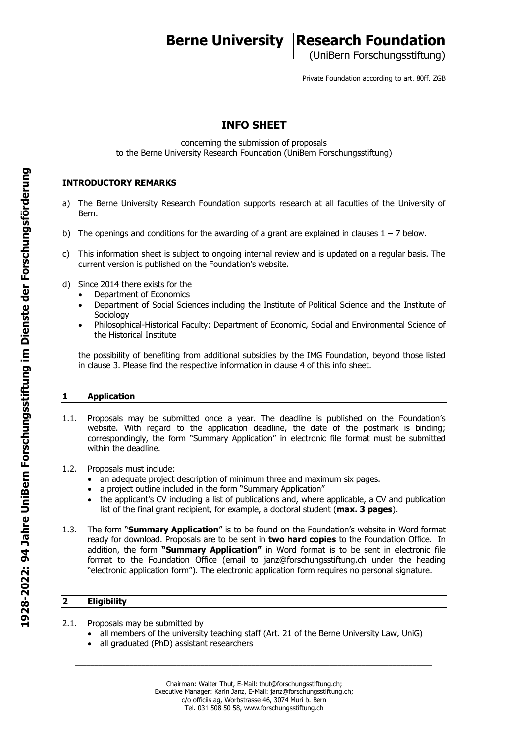# **Berne University | Research Foundation**

(UniBern Forschungsstiftung)

Private Foundation according to art. 80ff. ZGB

# **INFO SHEET**

concerning the submission of proposals to the Berne University Research Foundation (UniBern Forschungsstiftung)

## **INTRODUCTORY REMARKS**

- a) The Berne University Research Foundation supports research at all faculties of the University of Bern.
- b) The openings and conditions for the awarding of a grant are explained in clauses  $1 7$  below.
- c) This information sheet is subject to ongoing internal review and is updated on a regular basis. The current version is published on the Foundation's website.
- d) Since 2014 there exists for the
	- Department of Economics
	- Department of Social Sciences including the Institute of Political Science and the Institute of **Sociology**
	- Philosophical-Historical Faculty: Department of Economic, Social and Environmental Science of the Historical Institute

the possibility of benefiting from additional subsidies by the IMG Foundation, beyond those listed in clause 3. Please find the respective information in clause 4 of this info sheet.

#### **1 Application**

- 1.1. Proposals may be submitted once a year. The deadline is published on the Foundation's website. With regard to the application deadline, the date of the postmark is binding; correspondingly, the form "Summary Application" in electronic file format must be submitted within the deadline.
- 1.2. Proposals must include:
	- an adequate project description of minimum three and maximum six pages.
	- a project outline included in the form "Summary Application"
	- the applicant's CV including a list of publications and, where applicable, a CV and publication list of the final grant recipient, for example, a doctoral student (**max. 3 pages**).
- 1.3. The form "**Summary Application**" is to be found on the Foundation's website in Word format ready for download. Proposals are to be sent in **two hard copies** to the Foundation Office. In addition, the form **"Summary Application"** in Word format is to be sent in electronic file format to the Foundation Office (email to janz@forschungsstiftung.ch under the heading "electronic application form"). The electronic application form requires no personal signature.

### **2 Eligibility**

- 2.1. Proposals may be submitted by
	- all members of the university teaching staff (Art. 21 of the Berne University Law, UniG)

\_\_\_\_\_\_\_\_\_\_\_\_\_\_\_\_\_\_\_\_\_\_\_\_\_\_\_\_\_\_\_\_\_\_\_\_\_\_\_\_\_\_\_\_\_\_\_\_\_\_\_\_\_\_\_\_\_\_\_\_\_\_\_\_\_\_\_\_\_\_\_\_\_\_\_\_\_\_\_\_\_\_\_\_\_\_\_\_\_\_\_

• all graduated (PhD) assistant researchers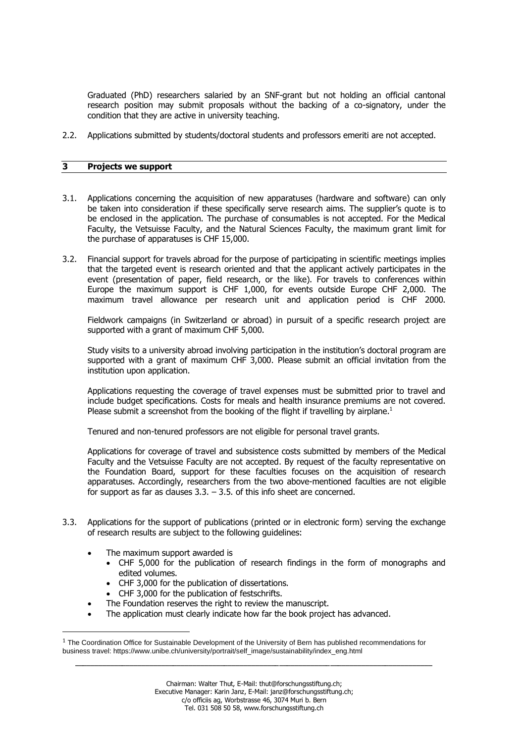Graduated (PhD) researchers salaried by an SNF-grant but not holding an official cantonal research position may submit proposals without the backing of a co-signatory, under the condition that they are active in university teaching.

2.2. Applications submitted by students/doctoral students and professors emeriti are not accepted.

#### **3 Projects we support**

- 3.1. Applications concerning the acquisition of new apparatuses (hardware and software) can only be taken into consideration if these specifically serve research aims. The supplier's quote is to be enclosed in the application. The purchase of consumables is not accepted. For the Medical Faculty, the Vetsuisse Faculty, and the Natural Sciences Faculty, the maximum grant limit for the purchase of apparatuses is CHF 15,000.
- 3.2. Financial support for travels abroad for the purpose of participating in scientific meetings implies that the targeted event is research oriented and that the applicant actively participates in the event (presentation of paper, field research, or the like). For travels to conferences within Europe the maximum support is CHF 1,000, for events outside Europe CHF 2,000. The maximum travel allowance per research unit and application period is CHF 2000.

Fieldwork campaigns (in Switzerland or abroad) in pursuit of a specific research project are supported with a grant of maximum CHF 5,000.

Study visits to a university abroad involving participation in the institution's doctoral program are supported with a grant of maximum CHF 3,000. Please submit an official invitation from the institution upon application.

Applications requesting the coverage of travel expenses must be submitted prior to travel and include budget specifications. Costs for meals and health insurance premiums are not covered. Please submit a screenshot from the booking of the flight if travelling by airplane.<sup>1</sup>

Tenured and non-tenured professors are not eligible for personal travel grants.

Applications for coverage of travel and subsistence costs submitted by members of the Medical Faculty and the Vetsuisse Faculty are not accepted. By request of the faculty representative on the Foundation Board, support for these faculties focuses on the acquisition of research apparatuses. Accordingly, researchers from the two above-mentioned faculties are not eligible for support as far as clauses  $3.3. - 3.5$ . of this info sheet are concerned.

- 3.3. Applications for the support of publications (printed or in electronic form) serving the exchange of research results are subject to the following guidelines:
	- The maximum support awarded is
		- CHF 5,000 for the publication of research findings in the form of monographs and edited volumes.
		- CHF 3,000 for the publication of dissertations.
		- CHF 3,000 for the publication of festschrifts.
	- The Foundation reserves the right to review the manuscript.
	- The application must clearly indicate how far the book project has advanced.

 $1$  The Coordination Office for Sustainable Development of the University of Bern has published recommendations for business travel: https://www.unibe.ch/university/portrait/self\_image/sustainability/index\_eng.html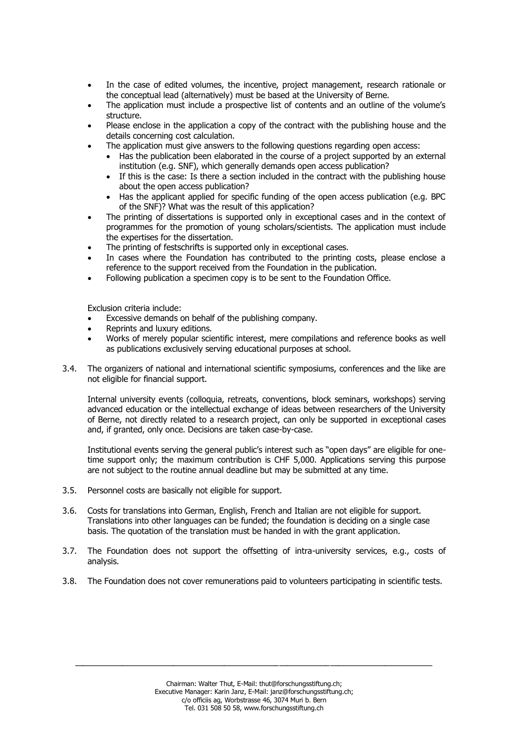- In the case of edited volumes, the incentive, project management, research rationale or the conceptual lead (alternatively) must be based at the University of Berne.
- The application must include a prospective list of contents and an outline of the volume's structure.
- Please enclose in the application a copy of the contract with the publishing house and the details concerning cost calculation.
- The application must give answers to the following questions regarding open access:
	- Has the publication been elaborated in the course of a project supported by an external institution (e.g. SNF), which generally demands open access publication?
	- If this is the case: Is there a section included in the contract with the publishing house about the open access publication?
	- Has the applicant applied for specific funding of the open access publication (e.g. BPC of the SNF)? What was the result of this application?
- The printing of dissertations is supported only in exceptional cases and in the context of programmes for the promotion of young scholars/scientists. The application must include the expertises for the dissertation.
- The printing of festschrifts is supported only in exceptional cases.
- In cases where the Foundation has contributed to the printing costs, please enclose a reference to the support received from the Foundation in the publication.
- Following publication a specimen copy is to be sent to the Foundation Office.

Exclusion criteria include:

- Excessive demands on behalf of the publishing company.
- Reprints and luxury editions.
- Works of merely popular scientific interest, mere compilations and reference books as well as publications exclusively serving educational purposes at school.
- 3.4. The organizers of national and international scientific symposiums, conferences and the like are not eligible for financial support.

Internal university events (colloquia, retreats, conventions, block seminars, workshops) serving advanced education or the intellectual exchange of ideas between researchers of the University of Berne, not directly related to a research project, can only be supported in exceptional cases and, if granted, only once. Decisions are taken case-by-case.

Institutional events serving the general public's interest such as "open days" are eligible for onetime support only; the maximum contribution is CHF 5,000. Applications serving this purpose are not subject to the routine annual deadline but may be submitted at any time.

- 3.5. Personnel costs are basically not eligible for support.
- 3.6. Costs for translations into German, English, French and Italian are not eligible for support. Translations into other languages can be funded; the foundation is deciding on a single case basis. The quotation of the translation must be handed in with the grant application.
- 3.7. The Foundation does not support the offsetting of intra-university services, e.g., costs of analysis.
- 3.8. The Foundation does not cover remunerations paid to volunteers participating in scientific tests.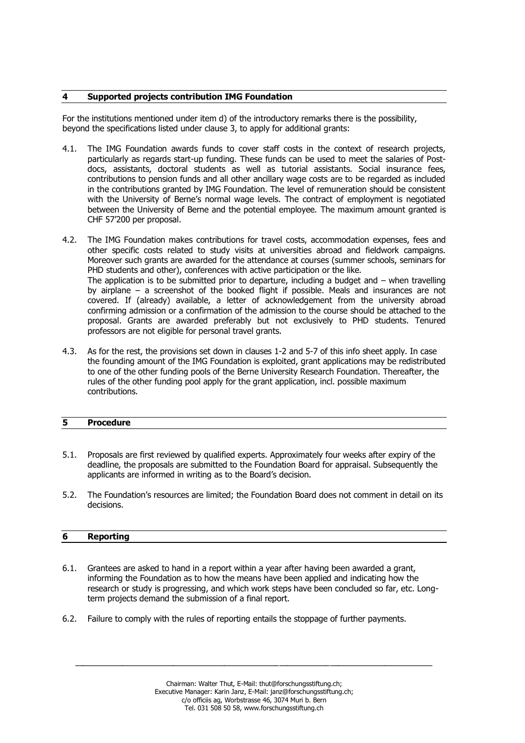#### **4 Supported projects contribution IMG Foundation**

For the institutions mentioned under item d) of the introductory remarks there is the possibility, beyond the specifications listed under clause 3, to apply for additional grants:

- 4.1. The IMG Foundation awards funds to cover staff costs in the context of research projects, particularly as regards start-up funding. These funds can be used to meet the salaries of Postdocs, assistants, doctoral students as well as tutorial assistants. Social insurance fees, contributions to pension funds and all other ancillary wage costs are to be regarded as included in the contributions granted by IMG Foundation. The level of remuneration should be consistent with the University of Berne's normal wage levels. The contract of employment is negotiated between the University of Berne and the potential employee. The maximum amount granted is CHF 57'200 per proposal.
- 4.2. The IMG Foundation makes contributions for travel costs, accommodation expenses, fees and other specific costs related to study visits at universities abroad and fieldwork campaigns. Moreover such grants are awarded for the attendance at courses (summer schools, seminars for PHD students and other), conferences with active participation or the like. The application is to be submitted prior to departure, including a budget and – when travelling by airplane – a screenshot of the booked flight if possible. Meals and insurances are not covered. If (already) available, a letter of acknowledgement from the university abroad confirming admission or a confirmation of the admission to the course should be attached to the proposal. Grants are awarded preferably but not exclusively to PHD students. Tenured professors are not eligible for personal travel grants.
- 4.3. As for the rest, the provisions set down in clauses 1-2 and 5-7 of this info sheet apply. In case the founding amount of the IMG Foundation is exploited, grant applications may be redistributed to one of the other funding pools of the Berne University Research Foundation. Thereafter, the rules of the other funding pool apply for the grant application, incl. possible maximum contributions.

### **5 Procedure**

- 5.1. Proposals are first reviewed by qualified experts. Approximately four weeks after expiry of the deadline, the proposals are submitted to the Foundation Board for appraisal. Subsequently the applicants are informed in writing as to the Board's decision.
- 5.2. The Foundation's resources are limited; the Foundation Board does not comment in detail on its decisions.

#### **6 Reporting**

- 6.1. Grantees are asked to hand in a report within a year after having been awarded a grant, informing the Foundation as to how the means have been applied and indicating how the research or study is progressing, and which work steps have been concluded so far, etc. Longterm projects demand the submission of a final report.
- 6.2. Failure to comply with the rules of reporting entails the stoppage of further payments.